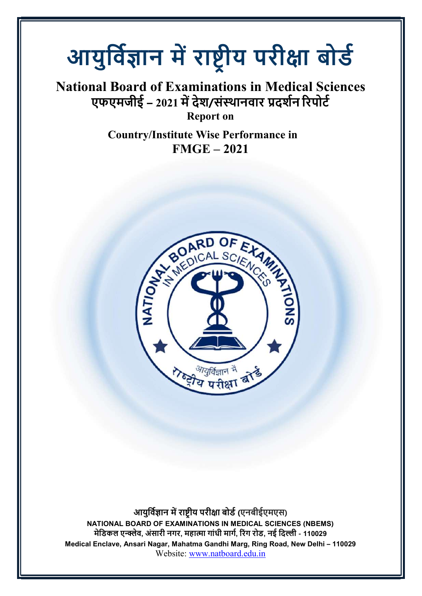## आयुर्विज्ञान में राष्ट्रीय परीक्षा बोर्ड

## National Board of Examinations in Medical Sciences एफएमजीई – 2021 में देश/संस्थानवार प्रदर्शन रिपोर्ट

Report on

Country/Institute Wise Performance in FMGE – 2021



आयुर्विज्ञान में राष्ट्रीय परीक्षा बोर्ड (एनबीईएमएस) NATIONAL BOARD OF EXAMINATIONS IN MEDICAL SCIENCES (NBEMS) मेडिकल एन्क्लेव, अंसारी नगर, महात्मा गांधी मार्ग, रिंग रोड, नई दिल्ली - 110029 Medical Enclave, Ansari Nagar, Mahatma Gandhi Marg, Ring Road, New Delhi – 110029 Website: www.natboard.edu.in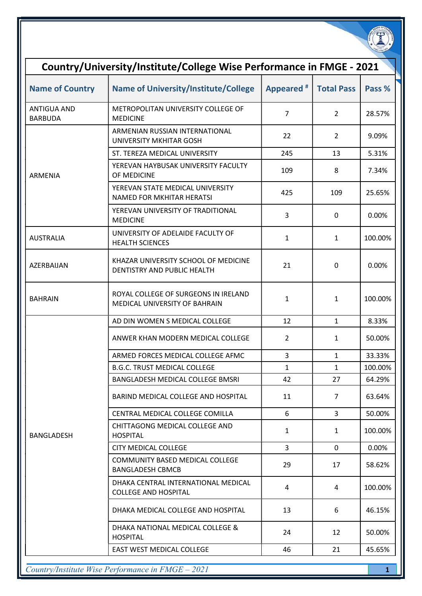| Country/University/Institute/College Wise Performance in FMGE - 2021 |                                                                       |                |                   |         |  |
|----------------------------------------------------------------------|-----------------------------------------------------------------------|----------------|-------------------|---------|--|
| <b>Name of Country</b>                                               | <b>Name of University/Institute/College</b>                           | Appeared #     | <b>Total Pass</b> | Pass %  |  |
| <b>ANTIGUA AND</b><br><b>BARBUDA</b>                                 | METROPOLITAN UNIVERSITY COLLEGE OF<br><b>MEDICINE</b>                 | $\overline{7}$ | $\overline{2}$    | 28.57%  |  |
|                                                                      | ARMENIAN RUSSIAN INTERNATIONAL<br>UNIVERSITY MKHITAR GOSH             | 22             | $\overline{2}$    | 9.09%   |  |
|                                                                      | ST. TEREZA MEDICAL UNIVERSITY                                         | 245            | 13                | 5.31%   |  |
| <b>ARMENIA</b>                                                       | YEREVAN HAYBUSAK UNIVERSITY FACULTY<br>OF MEDICINE                    | 109            | 8                 | 7.34%   |  |
|                                                                      | YEREVAN STATE MEDICAL UNIVERSITY<br><b>NAMED FOR MKHITAR HERATSI</b>  | 425            | 109               | 25.65%  |  |
|                                                                      | YEREVAN UNIVERSITY OF TRADITIONAL<br><b>MEDICINE</b>                  | 3              | 0                 | 0.00%   |  |
| <b>AUSTRALIA</b>                                                     | UNIVERSITY OF ADELAIDE FACULTY OF<br><b>HEALTH SCIENCES</b>           | $\mathbf{1}$   | $\mathbf{1}$      | 100.00% |  |
| AZERBAIJAN                                                           | KHAZAR UNIVERSITY SCHOOL OF MEDICINE<br>DENTISTRY AND PUBLIC HEALTH   | 21             | 0                 | 0.00%   |  |
| <b>BAHRAIN</b>                                                       | ROYAL COLLEGE OF SURGEONS IN IRELAND<br>MEDICAL UNIVERSITY OF BAHRAIN | $\mathbf{1}$   | 1                 | 100.00% |  |
|                                                                      | AD DIN WOMEN S MEDICAL COLLEGE                                        | 12             | $\mathbf{1}$      | 8.33%   |  |
|                                                                      | ANWER KHAN MODERN MEDICAL COLLEGE                                     | $\overline{2}$ | 1                 | 50.00%  |  |
|                                                                      | ARMED FORCES MEDICAL COLLEGE AFMC.                                    | 3              | $\mathbf{1}$      | 33.33%  |  |
|                                                                      | <b>B.G.C. TRUST MEDICAL COLLEGE</b>                                   | $\mathbf{1}$   | $\mathbf{1}$      | 100.00% |  |
|                                                                      | <b>BANGLADESH MEDICAL COLLEGE BMSRI</b>                               | 42             | 27                | 64.29%  |  |
|                                                                      | BARIND MEDICAL COLLEGE AND HOSPITAL                                   | 11             | 7                 | 63.64%  |  |
|                                                                      | CENTRAL MEDICAL COLLEGE COMILLA                                       | 6              | 3                 | 50.00%  |  |
| <b>BANGLADESH</b>                                                    | CHITTAGONG MEDICAL COLLEGE AND<br><b>HOSPITAL</b>                     | $\mathbf{1}$   | 1                 | 100.00% |  |
|                                                                      | CITY MEDICAL COLLEGE                                                  | 3              | $\mathbf{0}$      | 0.00%   |  |
|                                                                      | COMMUNITY BASED MEDICAL COLLEGE<br><b>BANGLADESH CBMCB</b>            | 29             | 17                | 58.62%  |  |
|                                                                      | DHAKA CENTRAL INTERNATIONAL MEDICAL<br><b>COLLEGE AND HOSPITAL</b>    | 4              | 4                 | 100.00% |  |
|                                                                      | DHAKA MEDICAL COLLEGE AND HOSPITAL                                    | 13             | 6                 | 46.15%  |  |
|                                                                      | DHAKA NATIONAL MEDICAL COLLEGE &<br><b>HOSPITAL</b>                   | 24             | 12                | 50.00%  |  |
|                                                                      | EAST WEST MEDICAL COLLEGE                                             | 46             | 21                | 45.65%  |  |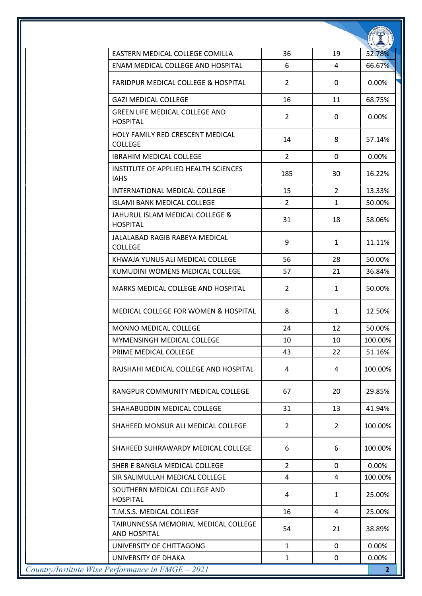| EASTERN MEDICAL COLLEGE COMILLA                             | 36             | 19             | 52.78%         |
|-------------------------------------------------------------|----------------|----------------|----------------|
| ENAM MEDICAL COLLEGE AND HOSPITAL                           | 6              | 4              | 66.67%         |
| <b>FARIDPUR MEDICAL COLLEGE &amp; HOSPITAL</b>              | $\overline{2}$ | 0              | 0.00%          |
| <b>GAZI MEDICAL COLLEGE</b>                                 | 16             | 11             | 68.75%         |
| <b>GREEN LIFE MEDICAL COLLEGE AND</b><br><b>HOSPITAL</b>    | $\overline{2}$ | 0              | 0.00%          |
| HOLY FAMILY RED CRESCENT MEDICAL<br><b>COLLEGE</b>          | 14             | 8              | 57.14%         |
| <b>IBRAHIM MEDICAL COLLEGE</b>                              | $\overline{2}$ | 0              | 0.00%          |
| INSTITUTE OF APPLIED HEALTH SCIENCES<br><b>IAHS</b>         | 185            | 30             | 16.22%         |
| INTERNATIONAL MEDICAL COLLEGE                               | 15             | $\overline{2}$ | 13.33%         |
| <b>ISLAMI BANK MEDICAL COLLEGE</b>                          | $\overline{2}$ | $\mathbf{1}$   | 50.00%         |
| JAHURUL ISLAM MEDICAL COLLEGE &<br><b>HOSPITAL</b>          | 31             | 18             | 58.06%         |
| JALALABAD RAGIB RABEYA MEDICAL<br><b>COLLEGE</b>            | 9              | $\mathbf{1}$   | 11.11%         |
| KHWAJA YUNUS ALI MEDICAL COLLEGE                            | 56             | 28             | 50.00%         |
| KUMUDINI WOMENS MEDICAL COLLEGE                             | 57             | 21             | 36.84%         |
| MARKS MEDICAL COLLEGE AND HOSPITAL                          | $\overline{2}$ | 1              | 50.00%         |
| <b>MEDICAL COLLEGE FOR WOMEN &amp; HOSPITAL</b>             | 8              | 1              | 12.50%         |
| MONNO MEDICAL COLLEGE                                       | 24             | 12             | 50.00%         |
| MYMENSINGH MEDICAL COLLEGE                                  | 10             | 10             | 100.00%        |
| PRIME MEDICAL COLLEGE                                       | 43             | 22.            | 51.16%         |
| RAJSHAHI MEDICAL COLLEGE AND HOSPITAL                       | 4              | 4              | 100.00%        |
| RANGPUR COMMUNITY MEDICAL COLLEGE                           | 67             | 20             | 29.85%         |
| SHAHABUDDIN MEDICAL COLLEGE                                 | 31             | 13             | 41.94%         |
| SHAHEED MONSUR ALI MEDICAL COLLEGE                          | $\overline{2}$ | 2              | 100.00%        |
| SHAHEED SUHRAWARDY MEDICAL COLLEGE                          | 6              | 6              | 100.00%        |
| SHER E BANGLA MEDICAL COLLEGE                               | $\overline{2}$ | $\mathbf{0}$   | 0.00%          |
| SIR SALIMULLAH MEDICAL COLLEGE                              | 4              | 4              | 100.00%        |
| SOUTHERN MEDICAL COLLEGE AND<br><b>HOSPITAL</b>             | 4              | $\mathbf{1}$   | 25.00%         |
| T.M.S.S. MEDICAL COLLEGE                                    | 16             | 4              | 25.00%         |
| TAIRUNNESSA MEMORIAL MEDICAL COLLEGE<br><b>AND HOSPITAL</b> | 54             | 21             | 38.89%         |
| UNIVERSITY OF CHITTAGONG                                    | $\mathbf{1}$   | $\mathbf 0$    | 0.00%          |
| UNIVERSITY OF DHAKA                                         | $\mathbf{1}$   | 0              | 0.00%          |
| Country/Institute Wise Performance in FMGE - 2021           |                |                | 2 <sup>1</sup> |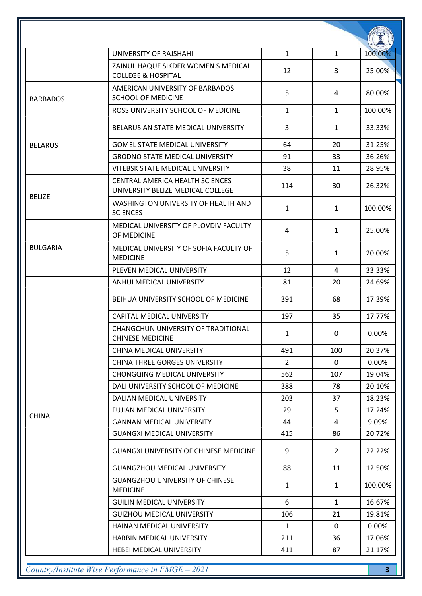|                 | UNIVERSITY OF RAJSHAHI                                                      | $\mathbf{1}$   | $\mathbf{1}$   | 100.00% |
|-----------------|-----------------------------------------------------------------------------|----------------|----------------|---------|
|                 | ZAINUL HAQUE SIKDER WOMEN S MEDICAL<br><b>COLLEGE &amp; HOSPITAL</b>        | 12             | 3              | 25.00%  |
| <b>BARBADOS</b> | AMERICAN UNIVERSITY OF BARBADOS<br><b>SCHOOL OF MEDICINE</b>                | 5              | 4              | 80.00%  |
|                 | ROSS UNIVERSITY SCHOOL OF MEDICINE                                          | $\mathbf{1}$   | $\mathbf{1}$   | 100.00% |
|                 | BELARUSIAN STATE MEDICAL UNIVERSITY                                         | 3              | $\mathbf{1}$   | 33.33%  |
| <b>BELARUS</b>  | <b>GOMEL STATE MEDICAL UNIVERSITY</b>                                       | 64             | 20             | 31.25%  |
|                 | <b>GRODNO STATE MEDICAL UNIVERSITY</b>                                      | 91             | 33             | 36.26%  |
|                 | VITEBSK STATE MEDICAL UNIVERSITY                                            | 38             | 11             | 28.95%  |
|                 | <b>CENTRAL AMERICA HEALTH SCIENCES</b><br>UNIVERSITY BELIZE MEDICAL COLLEGE | 114            | 30             | 26.32%  |
| <b>BELIZE</b>   | WASHINGTON UNIVERSITY OF HEALTH AND<br><b>SCIENCES</b>                      | $\mathbf{1}$   | $\mathbf{1}$   | 100.00% |
|                 | MEDICAL UNIVERSITY OF PLOVDIV FACULTY<br>OF MEDICINE                        | 4              | $\mathbf{1}$   | 25.00%  |
| <b>BULGARIA</b> | MEDICAL UNIVERSITY OF SOFIA FACULTY OF<br><b>MEDICINE</b>                   | 5              | $\mathbf{1}$   | 20.00%  |
|                 | PLEVEN MEDICAL UNIVERSITY                                                   | 12             | 4              | 33.33%  |
|                 | ANHUI MEDICAL UNIVERSITY                                                    | 81             | 20             | 24.69%  |
|                 | BEIHUA UNIVERSITY SCHOOL OF MEDICINE                                        | 391            | 68             | 17.39%  |
|                 | CAPITAL MEDICAL UNIVERSITY                                                  | 197            | 35             | 17.77%  |
|                 | CHANGCHUN UNIVERSITY OF TRADITIONAL<br><b>CHINESE MEDICINE</b>              | 1              | 0              | 0.00%   |
|                 | CHINA MEDICAL UNIVERSITY                                                    | 491            | 100            | 20.37%  |
| <b>CHINA</b>    | <b>CHINA THREE GORGES UNIVERSITY</b>                                        | $\overline{2}$ | 0              | 0.00%   |
|                 | <b>CHONGQING MEDICAL UNIVERSITY</b>                                         | 562            | 107            | 19.04%  |
|                 | DALI UNIVERSITY SCHOOL OF MEDICINE                                          | 388            | 78             | 20.10%  |
|                 | DALIAN MEDICAL UNIVERSITY                                                   | 203            | 37             | 18.23%  |
|                 | FUJIAN MEDICAL UNIVERSITY                                                   | 29             | 5              | 17.24%  |
|                 | <b>GANNAN MEDICAL UNIVERSITY</b>                                            | 44             | 4              | 9.09%   |
|                 | <b>GUANGXI MEDICAL UNIVERSITY</b>                                           | 415            | 86             | 20.72%  |
|                 | <b>GUANGXI UNIVERSITY OF CHINESE MEDICINE</b>                               | 9              | $\overline{2}$ | 22.22%  |
|                 | <b>GUANGZHOU MEDICAL UNIVERSITY</b>                                         | 88             | 11             | 12.50%  |
|                 | <b>GUANGZHOU UNIVERSITY OF CHINESE</b><br><b>MEDICINE</b>                   | $\mathbf{1}$   | $\mathbf{1}$   | 100.00% |
|                 | <b>GUILIN MEDICAL UNIVERSITY</b>                                            | 6              | $\mathbf{1}$   | 16.67%  |
|                 | <b>GUIZHOU MEDICAL UNIVERSITY</b>                                           | 106            | 21             | 19.81%  |
|                 | HAINAN MEDICAL UNIVERSITY                                                   | $\mathbf{1}$   | $\mathbf{0}$   | 0.00%   |
|                 | HARBIN MEDICAL UNIVERSITY                                                   | 211            | 36             | 17.06%  |
|                 | <b>HEBEI MEDICAL UNIVERSITY</b>                                             | 411            | 87             | 21.17%  |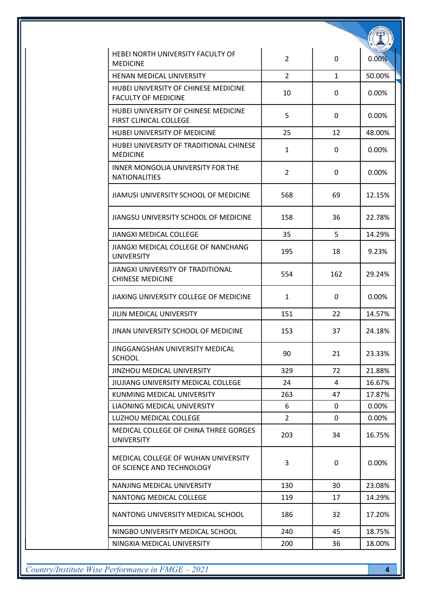| HEBEI NORTH UNIVERSITY FACULTY OF<br><b>MEDICINE</b>                  | $\overline{2}$ | 0            | 0.00%    |
|-----------------------------------------------------------------------|----------------|--------------|----------|
| HENAN MEDICAL UNIVERSITY                                              | $\overline{2}$ | $\mathbf{1}$ | 50.00%   |
| HUBEI UNIVERSITY OF CHINESE MEDICINE<br><b>FACULTY OF MEDICINE</b>    | 10             | 0            | 0.00%    |
| HUBEI UNIVERSITY OF CHINESE MEDICINE<br><b>FIRST CLINICAL COLLEGE</b> | 5              | 0            | 0.00%    |
| HUBEI UNIVERSITY OF MEDICINE                                          | 25             | 12           | 48.00%   |
| HUBEI UNIVERSITY OF TRADITIONAL CHINESE<br><b>MEDICINE</b>            | $\mathbf{1}$   | 0            | $0.00\%$ |
| INNER MONGOLIA UNIVERSITY FOR THE<br><b>NATIONALITIES</b>             | $\overline{2}$ | 0            | 0.00%    |
| JIAMUSI UNIVERSITY SCHOOL OF MEDICINE                                 | 568            | 69           | 12.15%   |
| JIANGSU UNIVERSITY SCHOOL OF MEDICINE                                 | 158            | 36           | 22.78%   |
| <b>JIANGXI MEDICAL COLLEGE</b>                                        | 35             | 5            | 14.29%   |
| JIANGXI MEDICAL COLLEGE OF NANCHANG<br><b>UNIVERSITY</b>              | 195            | 18           | 9.23%    |
| JIANGXI UNIVERSITY OF TRADITIONAL<br><b>CHINESE MEDICINE</b>          | 554            | 162          | 29.24%   |
| JIAXING UNIVERSITY COLLEGE OF MEDICINE                                | $\mathbf{1}$   | 0            | 0.00%    |
| JILIN MEDICAL UNIVERSITY                                              | 151            | 22           | 14.57%   |
| JINAN UNIVERSITY SCHOOL OF MEDICINE                                   | 153            | 37           | 24.18%   |
| JINGGANGSHAN UNIVERSITY MEDICAL<br><b>SCHOOL</b>                      | 90             | 21           | 23.33%   |
| <b>JINZHOU MEDICAL UNIVERSITY</b>                                     | 329            | 72           | 21.88%   |
| JIUJIANG UNIVERSITY MEDICAL COLLEGE                                   | 24             | 4            | 16.67%   |
| KUNMING MEDICAL UNIVERSITY                                            | 263            | 47           | 17.87%   |
| LIAONING MEDICAL UNIVERSITY                                           | 6              | 0            | $0.00\%$ |
| LUZHOU MEDICAL COLLEGE                                                | $\overline{2}$ | $\mathbf{0}$ | 0.00%    |
| MEDICAL COLLEGE OF CHINA THREE GORGES<br><b>UNIVERSITY</b>            | 203            | 34           | 16.75%   |
| MEDICAL COLLEGE OF WUHAN UNIVERSITY<br>OF SCIENCE AND TECHNOLOGY      | 3              | 0            | 0.00%    |
| NANJING MEDICAL UNIVERSITY                                            | 130            | 30           | 23.08%   |
| NANTONG MEDICAL COLLEGE                                               | 119            | 17           | 14.29%   |
| NANTONG UNIVERSITY MEDICAL SCHOOL                                     | 186            | 32           | 17.20%   |
| NINGBO UNIVERSITY MEDICAL SCHOOL                                      | 240            | 45           | 18.75%   |
| NINGXIA MEDICAL UNIVERSITY                                            | 200            | 36           | 18.00%   |

Country/Institute Wise Performance in FMGE – 2021 4

**Canal**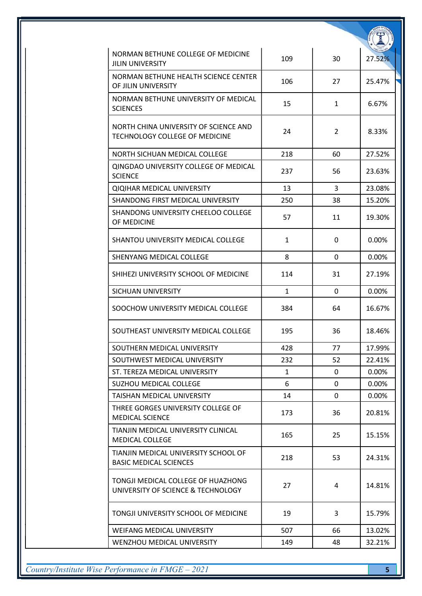| NORMAN BETHUNE COLLEGE OF MEDICINE<br><b>JILIN UNIVERSITY</b>            | 109          | 30           | 27.52%   |
|--------------------------------------------------------------------------|--------------|--------------|----------|
| NORMAN BETHUNE HEALTH SCIENCE CENTER<br>OF JILIN UNIVERSITY              | 106          | 27           | 25.47%   |
| NORMAN BETHUNE UNIVERSITY OF MEDICAL<br><b>SCIENCES</b>                  | 15           | 1            | 6.67%    |
| NORTH CHINA UNIVERSITY OF SCIENCE AND<br>TECHNOLOGY COLLEGE OF MEDICINE  | 24           | 2            | 8.33%    |
| NORTH SICHUAN MEDICAL COLLEGE                                            | 218          | 60           | 27.52%   |
| QINGDAO UNIVERSITY COLLEGE OF MEDICAL<br><b>SCIENCE</b>                  | 237          | 56           | 23.63%   |
| <b>QIQIHAR MEDICAL UNIVERSITY</b>                                        | 13           | 3            | 23.08%   |
| SHANDONG FIRST MEDICAL UNIVERSITY                                        | 250          | 38           | 15.20%   |
| SHANDONG UNIVERSITY CHEELOO COLLEGE<br>OF MEDICINE                       | 57           | 11           | 19.30%   |
| SHANTOU UNIVERSITY MEDICAL COLLEGE                                       | 1            | 0            | $0.00\%$ |
| SHENYANG MEDICAL COLLEGE                                                 | 8            | $\mathbf{0}$ | 0.00%    |
| SHIHEZI UNIVERSITY SCHOOL OF MEDICINE                                    | 114          | 31           | 27.19%   |
| SICHUAN UNIVERSITY                                                       | $\mathbf{1}$ | 0            | 0.00%    |
| SOOCHOW UNIVERSITY MEDICAL COLLEGE                                       | 384          | 64           | 16.67%   |
| SOUTHEAST UNIVERSITY MEDICAL COLLEGE                                     | 195          | 36           | 18.46%   |
| SOUTHERN MEDICAL UNIVERSITY                                              | 428          | 77           | 17.99%   |
| SOUTHWEST MEDICAL UNIVERSITY                                             | 232          | 52           | 22.41%   |
| ST. TEREZA MEDICAL UNIVERSITY                                            | $\mathbf{1}$ | $\mathbf{0}$ | 0.00%    |
| <b>SUZHOU MEDICAL COLLEGE</b>                                            | 6            | $\mathbf{0}$ | 0.00%    |
| TAISHAN MEDICAL UNIVERSITY                                               | 14           | $\mathbf{0}$ | 0.00%    |
| THREE GORGES UNIVERSITY COLLEGE OF<br><b>MEDICAL SCIENCE</b>             | 173          | 36           | 20.81%   |
| TIANJIN MEDICAL UNIVERSITY CLINICAL<br><b>MEDICAL COLLEGE</b>            | 165          | 25           | 15.15%   |
| TIANJIN MEDICAL UNIVERSITY SCHOOL OF<br><b>BASIC MEDICAL SCIENCES</b>    | 218          | 53           | 24.31%   |
| TONGJI MEDICAL COLLEGE OF HUAZHONG<br>UNIVERSITY OF SCIENCE & TECHNOLOGY | 27           | 4            | 14.81%   |
| TONGJI UNIVERSITY SCHOOL OF MEDICINE                                     | 19           | 3            | 15.79%   |
| WEIFANG MEDICAL UNIVERSITY                                               | 507          | 66           | 13.02%   |
| WENZHOU MEDICAL UNIVERSITY                                               | 149          | 48           | 32.21%   |

Country/Institute Wise Performance in FMGE – 2021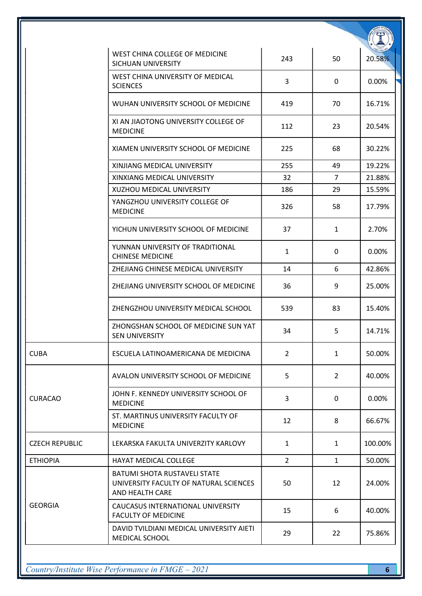|                       | WEST CHINA COLLEGE OF MEDICINE<br>SICHUAN UNIVERSITY                                             | 243            | 50             | 20.58%  |
|-----------------------|--------------------------------------------------------------------------------------------------|----------------|----------------|---------|
|                       | WEST CHINA UNIVERSITY OF MEDICAL<br><b>SCIENCES</b>                                              | 3              | 0              | 0.00%   |
|                       | WUHAN UNIVERSITY SCHOOL OF MEDICINE                                                              | 419            | 70             | 16.71%  |
|                       | XI AN JIAOTONG UNIVERSITY COLLEGE OF<br><b>MEDICINE</b>                                          | 112            | 23             | 20.54%  |
|                       | XIAMEN UNIVERSITY SCHOOL OF MEDICINE                                                             | 225            | 68             | 30.22%  |
|                       | XINJIANG MEDICAL UNIVERSITY                                                                      | 255            | 49             | 19.22%  |
|                       | XINXIANG MEDICAL UNIVERSITY                                                                      | 32             | $\overline{7}$ | 21.88%  |
|                       | XUZHOU MEDICAL UNIVERSITY                                                                        | 186            | 29             | 15.59%  |
|                       | YANGZHOU UNIVERSITY COLLEGE OF<br><b>MEDICINE</b>                                                | 326            | 58             | 17.79%  |
|                       | YICHUN UNIVERSITY SCHOOL OF MEDICINE                                                             | 37             | $\mathbf{1}$   | 2.70%   |
|                       | YUNNAN UNIVERSITY OF TRADITIONAL<br><b>CHINESE MEDICINE</b>                                      | $\mathbf{1}$   | $\mathbf 0$    | 0.00%   |
|                       | ZHEJIANG CHINESE MEDICAL UNIVERSITY                                                              | 14             | 6              | 42.86%  |
|                       | ZHEJIANG UNIVERSITY SCHOOL OF MEDICINE                                                           | 36             | 9              | 25.00%  |
|                       | ZHENGZHOU UNIVERSITY MEDICAL SCHOOL                                                              | 539            | 83             | 15.40%  |
|                       | ZHONGSHAN SCHOOL OF MEDICINE SUN YAT<br><b>SEN UNIVERSITY</b>                                    | 34             | 5              | 14.71%  |
| <b>CUBA</b>           | ESCUELA LATINOAMERICANA DE MEDICINA                                                              | $\overline{2}$ | $\mathbf{1}$   | 50.00%  |
|                       | AVALON UNIVERSITY SCHOOL OF MEDICINE                                                             | 5              | $\overline{2}$ | 40.00%  |
| <b>CURACAO</b>        | JOHN F. KENNEDY UNIVERSITY SCHOOL OF<br><b>MEDICINE</b>                                          | 3              | 0              | 0.00%   |
|                       | ST. MARTINUS UNIVERSITY FACULTY OF<br><b>MEDICINE</b>                                            | 12             | 8              | 66.67%  |
| <b>CZECH REPUBLIC</b> | LEKARSKA FAKULTA UNIVERZITY KARLOVY                                                              | $\mathbf{1}$   | 1              | 100.00% |
| <b>ETHIOPIA</b>       | <b>HAYAT MEDICAL COLLEGE</b>                                                                     | $\overline{2}$ | $\mathbf{1}$   | 50.00%  |
|                       | <b>BATUMI SHOTA RUSTAVELI STATE</b><br>UNIVERSITY FACULTY OF NATURAL SCIENCES<br>AND HEALTH CARE | 50             | 12             | 24.00%  |
| <b>GEORGIA</b>        | CAUCASUS INTERNATIONAL UNIVERSITY<br><b>FACULTY OF MEDICINE</b>                                  | 15             | 6              | 40.00%  |
|                       | DAVID TVILDIANI MEDICAL UNIVERSITY AIETI<br>MEDICAL SCHOOL                                       | 29             | 22             | 75.86%  |

Country/Institute Wise Performance in FMGE – 2021 6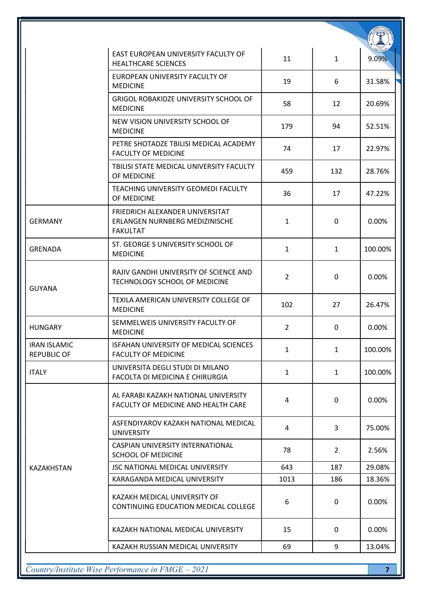|                                           | EAST EUROPEAN UNIVERSITY FACULTY OF<br><b>HEALTHCARE SCIENCES</b>                           | 11             | $\mathbf{1}$   | 9.09%   |
|-------------------------------------------|---------------------------------------------------------------------------------------------|----------------|----------------|---------|
|                                           | EUROPEAN UNIVERSITY FACULTY OF<br><b>MEDICINE</b>                                           | 19             | 6              | 31.58%  |
|                                           | <b>GRIGOL ROBAKIDZE UNIVERSITY SCHOOL OF</b><br><b>MEDICINE</b>                             | 58             | 12             | 20.69%  |
|                                           | NEW VISION UNIVERSITY SCHOOL OF<br><b>MEDICINE</b>                                          | 179            | 94             | 52.51%  |
|                                           | PETRE SHOTADZE TBILISI MEDICAL ACADEMY<br><b>FACULTY OF MEDICINE</b>                        | 74             | 17             | 22.97%  |
|                                           | TBILISI STATE MEDICAL UNIVERSITY FACULTY<br>OF MEDICINE                                     | 459            | 132            | 28.76%  |
|                                           | <b>TEACHING UNIVERSITY GEOMEDI FACULTY</b><br>OF MEDICINE                                   | 36             | 17             | 47.22%  |
| <b>GERMANY</b>                            | FRIEDRICH ALEXANDER UNIVERSITAT<br><b>ERLANGEN NURNBERG MEDIZINISCHE</b><br><b>FAKULTAT</b> | $\mathbf{1}$   | 0              | 0.00%   |
| <b>GRENADA</b>                            | ST. GEORGE S UNIVERSITY SCHOOL OF<br><b>MEDICINE</b>                                        | $\mathbf{1}$   | $\mathbf{1}$   | 100.00% |
| <b>GUYANA</b>                             | RAJIV GANDHI UNIVERSITY OF SCIENCE AND<br>TECHNOLOGY SCHOOL OF MEDICINE                     | $\overline{2}$ | 0              | 0.00%   |
|                                           | TEXILA AMERICAN UNIVERSITY COLLEGE OF<br><b>MEDICINE</b>                                    | 102            | 27             | 26.47%  |
| <b>HUNGARY</b>                            | SEMMELWEIS UNIVERSITY FACULTY OF<br><b>MEDICINE</b>                                         | $\overline{2}$ | $\mathbf{0}$   | 0.00%   |
| <b>IRAN ISLAMIC</b><br><b>REPUBLIC OF</b> | ISFAHAN UNIVERSITY OF MEDICAL SCIENCES<br><b>FACULTY OF MEDICINE</b>                        | $\mathbf{1}$   | $\mathbf{1}$   | 100.00% |
| <b>ITALY</b>                              | UNIVERSITA DEGLI STUDI DI MILANO<br>FACOLTA DI MEDICINA E CHIRURGIA                         | $\mathbf{1}$   | $\mathbf{1}$   | 100.00% |
|                                           | AL FARABI KAZAKH NATIONAL UNIVERSITY<br>FACULTY OF MEDICINE AND HEALTH CARE                 | $\overline{4}$ | $\mathbf 0$    | 0.00%   |
|                                           | ASFENDIYAROV KAZAKH NATIONAL MEDICAL<br><b>UNIVERSITY</b>                                   | 4              | 3              | 75.00%  |
|                                           | CASPIAN UNIVERSITY INTERNATIONAL<br><b>SCHOOL OF MEDICINE</b>                               | 78             | $\overline{2}$ | 2.56%   |
| <b>KAZAKHSTAN</b>                         | JSC NATIONAL MEDICAL UNIVERSITY                                                             | 643            | 187            | 29.08%  |
|                                           | KARAGANDA MEDICAL UNIVERSITY                                                                | 1013           | 186            | 18.36%  |
|                                           | KAZAKH MEDICAL UNIVERSITY OF<br>CONTINUING EDUCATION MEDICAL COLLEGE                        | 6              | $\mathbf 0$    | 0.00%   |
|                                           | KAZAKH NATIONAL MEDICAL UNIVERSITY                                                          | 15             | 0              | 0.00%   |
|                                           | KAZAKH RUSSIAN MEDICAL UNIVERSITY                                                           | 69             | 9              | 13.04%  |

 $Country/Institute Wise Performance in FMGE-2021$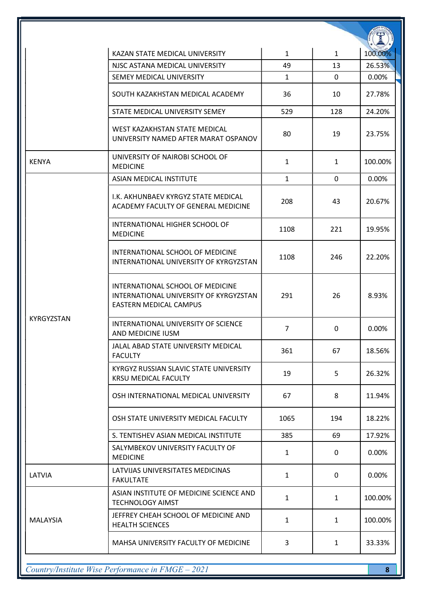|                   | KAZAN STATE MEDICAL UNIVERSITY                                                                              | $\mathbf{1}$   | $\mathbf{1}$ | 100.00%  |
|-------------------|-------------------------------------------------------------------------------------------------------------|----------------|--------------|----------|
|                   | NJSC ASTANA MEDICAL UNIVERSITY                                                                              | 49             | 13           | 26.53%   |
|                   | SEMEY MEDICAL UNIVERSITY                                                                                    | $\mathbf{1}$   | $\mathbf{0}$ | 0.00%    |
|                   | SOUTH KAZAKHSTAN MEDICAL ACADEMY                                                                            | 36             | 10           | 27.78%   |
|                   | STATE MEDICAL UNIVERSITY SEMEY                                                                              | 529            | 128          | 24.20%   |
|                   | WEST KAZAKHSTAN STATE MEDICAL<br>UNIVERSITY NAMED AFTER MARAT OSPANOV                                       | 80             | 19           | 23.75%   |
| <b>KENYA</b>      | UNIVERSITY OF NAIROBI SCHOOL OF<br><b>MEDICINE</b>                                                          | $\mathbf{1}$   | $\mathbf{1}$ | 100.00%  |
|                   | ASIAN MEDICAL INSTITUTE                                                                                     | $\mathbf{1}$   | 0            | $0.00\%$ |
|                   | I.K. AKHUNBAEV KYRGYZ STATE MEDICAL<br>ACADEMY FACULTY OF GENERAL MEDICINE                                  | 208            | 43           | 20.67%   |
|                   | <b>INTERNATIONAL HIGHER SCHOOL OF</b><br><b>MEDICINE</b>                                                    | 1108           | 221          | 19.95%   |
|                   | INTERNATIONAL SCHOOL OF MEDICINE<br>INTERNATIONAL UNIVERSITY OF KYRGYZSTAN                                  | 1108           | 246          | 22.20%   |
|                   | INTERNATIONAL SCHOOL OF MEDICINE<br>INTERNATIONAL UNIVERSITY OF KYRGYZSTAN<br><b>EASTERN MEDICAL CAMPUS</b> | 291            | 26           | 8.93%    |
| <b>KYRGYZSTAN</b> | INTERNATIONAL UNIVERSITY OF SCIENCE<br>AND MEDICINE IUSM                                                    | $\overline{7}$ | $\mathbf{0}$ | 0.00%    |
|                   | JALAL ABAD STATE UNIVERSITY MEDICAL<br><b>FACULTY</b>                                                       | 361            | 67           | 18.56%   |
|                   | KYRGYZ RUSSIAN SLAVIC STATE UNIVERSITY<br><b>KRSU MEDICAL FACULTY</b>                                       | 19             | 5            | 26.32%   |
|                   | OSH INTERNATIONAL MEDICAL UNIVERSITY                                                                        | 67             | 8            | 11.94%   |
|                   | OSH STATE UNIVERSITY MEDICAL FACULTY                                                                        | 1065           | 194          | 18.22%   |
|                   | S. TENTISHEV ASIAN MEDICAL INSTITUTE                                                                        | 385            | 69           | 17.92%   |
|                   | SALYMBEKOV UNIVERSITY FACULTY OF<br><b>MEDICINE</b>                                                         | $\mathbf{1}$   | 0            | 0.00%    |
| LATVIA            | LATVIJAS UNIVERSITATES MEDICINAS<br><b>FAKULTATE</b>                                                        | $\mathbf{1}$   | 0            | 0.00%    |
|                   | ASIAN INSTITUTE OF MEDICINE SCIENCE AND<br><b>TECHNOLOGY AIMST</b>                                          | $\mathbf{1}$   | $\mathbf{1}$ | 100.00%  |
| <b>MALAYSIA</b>   | JEFFREY CHEAH SCHOOL OF MEDICINE AND<br><b>HEALTH SCIENCES</b>                                              | $\mathbf{1}$   | $\mathbf{1}$ | 100.00%  |
|                   | MAHSA UNIVERSITY FACULTY OF MEDICINE                                                                        | 3              | $\mathbf{1}$ | 33.33%   |

Country/Institute Wise Performance in FMGE – 2021 8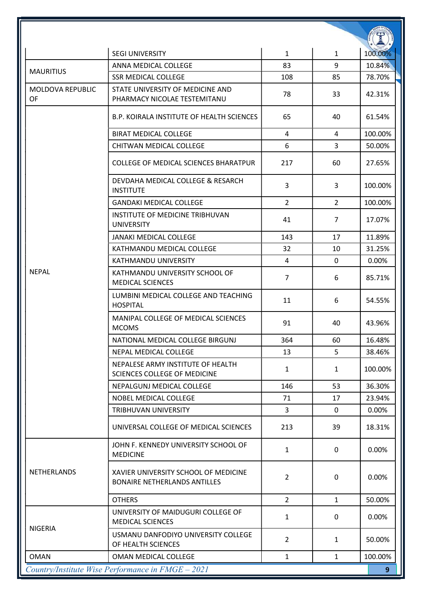|                                      | <b>SEGI UNIVERSITY</b>                                                      | $\mathbf{1}$   | $\mathbf{1}$   | 100.00% |
|--------------------------------------|-----------------------------------------------------------------------------|----------------|----------------|---------|
|                                      | ANNA MEDICAL COLLEGE                                                        | 83             | 9              | 10.84%  |
| <b>MAURITIUS</b>                     | <b>SSR MEDICAL COLLEGE</b>                                                  | 108            | 85             | 78.70%  |
| <b>MOLDOVA REPUBLIC</b><br><b>OF</b> | STATE UNIVERSITY OF MEDICINE AND<br>PHARMACY NICOLAE TESTEMITANU            | 78             | 33             | 42.31%  |
|                                      | <b>B.P. KOIRALA INSTITUTE OF HEALTH SCIENCES</b>                            | 65             | 40             | 61.54%  |
|                                      | <b>BIRAT MEDICAL COLLEGE</b>                                                | $\overline{4}$ | 4              | 100.00% |
|                                      | CHITWAN MEDICAL COLLEGE                                                     | 6              | 3              | 50.00%  |
|                                      | COLLEGE OF MEDICAL SCIENCES BHARATPUR                                       | 217            | 60             | 27.65%  |
|                                      | DEVDAHA MEDICAL COLLEGE & RESARCH<br><b>INSTITUTE</b>                       | 3              | 3              | 100.00% |
|                                      | <b>GANDAKI MEDICAL COLLEGE</b>                                              | $\overline{2}$ | $\overline{2}$ | 100.00% |
|                                      | INSTITUTE OF MEDICINE TRIBHUVAN<br><b>UNIVERSITY</b>                        | 41             | $\overline{7}$ | 17.07%  |
|                                      | <b>JANAKI MEDICAL COLLEGE</b>                                               | 143            | 17             | 11.89%  |
|                                      | KATHMANDU MEDICAL COLLEGE                                                   | 32             | 10             | 31.25%  |
|                                      | KATHMANDU UNIVERSITY                                                        | 4              | $\mathbf{0}$   | 0.00%   |
| <b>NEPAL</b>                         | KATHMANDU UNIVERSITY SCHOOL OF<br><b>MEDICAL SCIENCES</b>                   | $\overline{7}$ | 6              | 85.71%  |
|                                      | LUMBINI MEDICAL COLLEGE AND TEACHING<br><b>HOSPITAL</b>                     | 11             | 6              | 54.55%  |
|                                      | MANIPAL COLLEGE OF MEDICAL SCIENCES<br><b>MCOMS</b>                         | 91             | 40             | 43.96%  |
|                                      | NATIONAL MEDICAL COLLEGE BIRGUNJ                                            | 364            | 60             | 16.48%  |
|                                      | NEPAL MEDICAL COLLEGE                                                       | 13             | 5              | 38.46%  |
|                                      | NEPALESE ARMY INSTITUTE OF HEALTH<br><b>SCIENCES COLLEGE OF MEDICINE</b>    | $\mathbf{1}$   | $\mathbf{1}$   | 100.00% |
|                                      | NEPALGUNJ MEDICAL COLLEGE                                                   | 146            | 53             | 36.30%  |
|                                      | NOBEL MEDICAL COLLEGE                                                       | 71             | 17             | 23.94%  |
|                                      | TRIBHUVAN UNIVERSITY                                                        | 3              | 0              | 0.00%   |
|                                      | UNIVERSAL COLLEGE OF MEDICAL SCIENCES                                       | 213            | 39             | 18.31%  |
|                                      | JOHN F. KENNEDY UNIVERSITY SCHOOL OF<br><b>MEDICINE</b>                     | $\mathbf{1}$   | $\mathbf{0}$   | 0.00%   |
| NETHERLANDS                          | XAVIER UNIVERSITY SCHOOL OF MEDICINE<br><b>BONAIRE NETHERLANDS ANTILLES</b> | $\overline{2}$ | 0              | 0.00%   |
|                                      | <b>OTHERS</b>                                                               | $\overline{2}$ | $\mathbf{1}$   | 50.00%  |
|                                      | UNIVERSITY OF MAIDUGURI COLLEGE OF<br><b>MEDICAL SCIENCES</b>               | 1              | 0              | 0.00%   |
| <b>NIGERIA</b>                       | USMANU DANFODIYO UNIVERSITY COLLEGE<br>OF HEALTH SCIENCES                   | $\overline{2}$ | 1              | 50.00%  |
| <b>OMAN</b>                          | OMAN MEDICAL COLLEGE                                                        | $\mathbf{1}$   | $\mathbf{1}$   | 100.00% |
|                                      | Country/Institute Wise Performance in FMGE - 2021                           |                |                | 9       |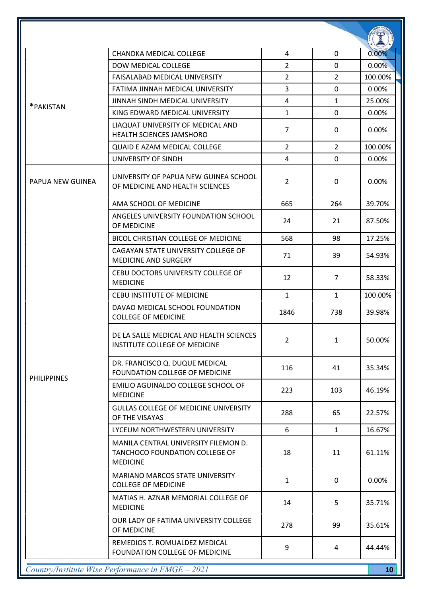|                    | <b>CHANDKA MEDICAL COLLEGE</b>                                                            | 4              | 0              | 0.00%           |
|--------------------|-------------------------------------------------------------------------------------------|----------------|----------------|-----------------|
|                    | <b>DOW MEDICAL COLLEGE</b>                                                                | $\overline{2}$ | 0              | 0.00%           |
|                    | <b>FAISALABAD MEDICAL UNIVERSITY</b>                                                      | $\overline{2}$ | 2              | 100.00%         |
|                    | FATIMA JINNAH MEDICAL UNIVERSITY                                                          | 3              | $\mathbf 0$    | 0.00%           |
|                    | JINNAH SINDH MEDICAL UNIVERSITY                                                           | 4              | $\mathbf{1}$   | 25.00%          |
| *PAKISTAN          | KING EDWARD MEDICAL UNIVERSITY                                                            | $\mathbf{1}$   | $\mathbf{0}$   | 0.00%           |
|                    | LIAQUAT UNIVERSITY OF MEDICAL AND<br><b>HEALTH SCIENCES JAMSHORO</b>                      | $\overline{7}$ | $\mathbf{0}$   | 0.00%           |
|                    | <b>QUAID E AZAM MEDICAL COLLEGE</b>                                                       | $\overline{2}$ | $\overline{2}$ | 100.00%         |
|                    | UNIVERSITY OF SINDH                                                                       | 4              | $\mathbf 0$    | 0.00%           |
| PAPUA NEW GUINEA   | UNIVERSITY OF PAPUA NEW GUINEA SCHOOL<br>OF MEDICINE AND HEALTH SCIENCES                  | $\overline{2}$ | 0              | 0.00%           |
|                    | AMA SCHOOL OF MEDICINE                                                                    | 665            | 264            | 39.70%          |
|                    | ANGELES UNIVERSITY FOUNDATION SCHOOL<br>OF MEDICINE                                       | 24             | 21             | 87.50%          |
|                    | BICOL CHRISTIAN COLLEGE OF MEDICINE                                                       | 568            | 98             | 17.25%          |
|                    | CAGAYAN STATE UNIVERSITY COLLEGE OF<br><b>MEDICINE AND SURGERY</b>                        | 71             | 39             | 54.93%          |
|                    | CEBU DOCTORS UNIVERSITY COLLEGE OF<br><b>MEDICINE</b>                                     | 12             | $\overline{7}$ | 58.33%          |
|                    | <b>CEBU INSTITUTE OF MEDICINE</b>                                                         | $\mathbf{1}$   | $\mathbf{1}$   | 100.00%         |
|                    | DAVAO MEDICAL SCHOOL FOUNDATION<br><b>COLLEGE OF MEDICINE</b>                             | 1846           | 738            | 39.98%          |
|                    | DE LA SALLE MEDICAL AND HEALTH SCIENCES<br>INSTITUTE COLLEGE OF MEDICINE                  | 2              | 1              | 50.00%          |
| <b>PHILIPPINES</b> | DR. FRANCISCO Q. DUQUE MEDICAL<br><b>FOUNDATION COLLEGE OF MEDICINE</b>                   | 116            | 41             | 35.34%          |
|                    | EMILIO AGUINALDO COLLEGE SCHOOL OF<br><b>MEDICINE</b>                                     | 223            | 103            | 46.19%          |
|                    | <b>GULLAS COLLEGE OF MEDICINE UNIVERSITY</b><br>OF THE VISAYAS                            | 288            | 65             | 22.57%          |
|                    | LYCEUM NORTHWESTERN UNIVERSITY                                                            | 6              | $\mathbf{1}$   | 16.67%          |
|                    | MANILA CENTRAL UNIVERSITY FILEMON D.<br>TANCHOCO FOUNDATION COLLEGE OF<br><b>MEDICINE</b> | 18             | 11             | 61.11%          |
|                    | <b>MARIANO MARCOS STATE UNIVERSITY</b><br><b>COLLEGE OF MEDICINE</b>                      | $\mathbf{1}$   | 0              | 0.00%           |
|                    | MATIAS H. AZNAR MEMORIAL COLLEGE OF<br><b>MEDICINE</b>                                    | 14             | 5              | 35.71%          |
|                    | OUR LADY OF FATIMA UNIVERSITY COLLEGE<br>OF MEDICINE                                      | 278            | 99             | 35.61%          |
|                    | REMEDIOS T. ROMUALDEZ MEDICAL<br>FOUNDATION COLLEGE OF MEDICINE                           | 9              | 4              | 44.44%          |
|                    | Country/Institute Wise Performance in FMGE - 2021                                         |                |                | 10 <sup>°</sup> |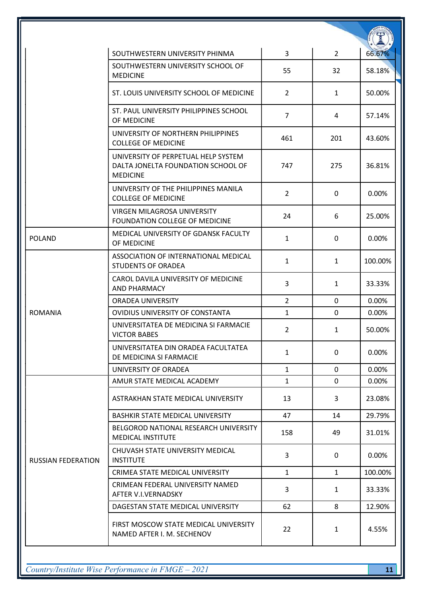|                           | SOUTHWESTERN UNIVERSITY PHINMA                                                               | 3              | $\overline{2}$ | 66.67%   |
|---------------------------|----------------------------------------------------------------------------------------------|----------------|----------------|----------|
|                           | SOUTHWESTERN UNIVERSITY SCHOOL OF<br><b>MEDICINE</b>                                         | 55             | 32             | 58.18%   |
|                           | ST. LOUIS UNIVERSITY SCHOOL OF MEDICINE                                                      | $\overline{2}$ | 1              | 50.00%   |
|                           | ST. PAUL UNIVERSITY PHILIPPINES SCHOOL<br>OF MEDICINE                                        | $\overline{7}$ | 4              | 57.14%   |
|                           | UNIVERSITY OF NORTHERN PHILIPPINES<br><b>COLLEGE OF MEDICINE</b>                             | 461            | 201            | 43.60%   |
|                           | UNIVERSITY OF PERPETUAL HELP SYSTEM<br>DALTA JONELTA FOUNDATION SCHOOL OF<br><b>MEDICINE</b> | 747            | 275            | 36.81%   |
|                           | UNIVERSITY OF THE PHILIPPINES MANILA<br><b>COLLEGE OF MEDICINE</b>                           | $\overline{2}$ | $\mathbf{0}$   | 0.00%    |
|                           | <b>VIRGEN MILAGROSA UNIVERSITY</b><br><b>FOUNDATION COLLEGE OF MEDICINE</b>                  | 24             | 6              | 25.00%   |
| <b>POLAND</b>             | MEDICAL UNIVERSITY OF GDANSK FACULTY<br>OF MEDICINE                                          | $\mathbf{1}$   | $\mathbf{0}$   | 0.00%    |
|                           | ASSOCIATION OF INTERNATIONAL MEDICAL<br><b>STUDENTS OF ORADEA</b>                            | 1              | 1              | 100.00%  |
|                           | CAROL DAVILA UNIVERSITY OF MEDICINE<br><b>AND PHARMACY</b>                                   | 3              | 1              | 33.33%   |
|                           | ORADEA UNIVERSITY                                                                            | $\overline{2}$ | 0              | 0.00%    |
| <b>ROMANIA</b>            | OVIDIUS UNIVERSITY OF CONSTANTA                                                              | $\mathbf{1}$   | 0              | 0.00%    |
|                           | UNIVERSITATEA DE MEDICINA SI FARMACIE<br><b>VICTOR BABES</b>                                 | $\overline{2}$ | 1              | 50.00%   |
|                           | UNIVERSITATEA DIN ORADEA FACULTATEA<br>DE MEDICINA SI FARMACIE                               | 1              | 0              | 0.00%    |
|                           | UNIVERSITY OF ORADEA                                                                         | $\mathbf{1}$   | $\mathbf 0$    | 0.00%    |
|                           | AMUR STATE MEDICAL ACADEMY                                                                   | $\mathbf{1}$   | $\mathbf 0$    | $0.00\%$ |
|                           | ASTRAKHAN STATE MEDICAL UNIVERSITY                                                           | 13             | 3              | 23.08%   |
|                           | BASHKIR STATE MEDICAL UNIVERSITY                                                             | 47             | 14             | 29.79%   |
| <b>RUSSIAN FEDERATION</b> | BELGOROD NATIONAL RESEARCH UNIVERSITY<br><b>MEDICAL INSTITUTE</b>                            | 158            | 49             | 31.01%   |
|                           | CHUVASH STATE UNIVERSITY MEDICAL<br><b>INSTITUTE</b>                                         | 3              | $\mathbf{0}$   | 0.00%    |
|                           | CRIMEA STATE MEDICAL UNIVERSITY                                                              | $\mathbf{1}$   | $\mathbf{1}$   | 100.00%  |
|                           | CRIMEAN FEDERAL UNIVERSITY NAMED<br>AFTER V.I.VERNADSKY                                      | 3              | $\mathbf{1}$   | 33.33%   |
|                           | DAGESTAN STATE MEDICAL UNIVERSITY                                                            | 62             | 8              | 12.90%   |
|                           | FIRST MOSCOW STATE MEDICAL UNIVERSITY<br>NAMED AFTER I. M. SECHENOV                          | 22             | $\mathbf{1}$   | 4.55%    |

 $\frac{1}{2}$  Country/Institute Wise Performance in FMGE – 2021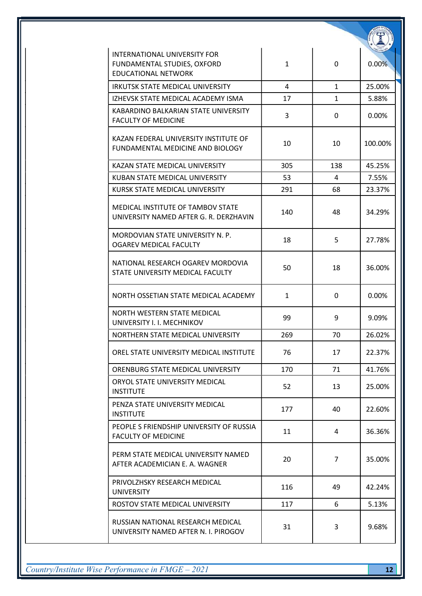| INTERNATIONAL UNIVERSITY FOR<br>FUNDAMENTAL STUDIES, OXFORD<br>EDUCATIONAL NETWORK | 1   | 0              | 0.00%   |
|------------------------------------------------------------------------------------|-----|----------------|---------|
| IRKUTSK STATE MEDICAL UNIVERSITY                                                   | 4   | $\mathbf{1}$   | 25.00%  |
| IZHEVSK STATE MEDICAL ACADEMY ISMA                                                 | 17  | $\mathbf{1}$   | 5.88%   |
| KABARDINO BALKARIAN STATE UNIVERSITY<br><b>FACULTY OF MEDICINE</b>                 | 3   | 0              | 0.00%   |
| KAZAN FEDERAL UNIVERSITY INSTITUTE OF<br>FUNDAMENTAL MEDICINE AND BIOLOGY          | 10  | 10             | 100.00% |
| KAZAN STATE MEDICAL UNIVERSITY                                                     | 305 | 138            | 45.25%  |
| KUBAN STATE MEDICAL UNIVERSITY                                                     | 53  | 4              | 7.55%   |
| KURSK STATE MEDICAL UNIVERSITY                                                     | 291 | 68             | 23.37%  |
| MEDICAL INSTITUTE OF TAMBOV STATE<br>UNIVERSITY NAMED AFTER G. R. DERZHAVIN        | 140 | 48             | 34.29%  |
| MORDOVIAN STATE UNIVERSITY N. P.<br>OGAREV MEDICAL FACULTY                         | 18  | 5              | 27.78%  |
| NATIONAL RESEARCH OGAREV MORDOVIA<br>STATE UNIVERSITY MEDICAL FACULTY              | 50  | 18             | 36.00%  |
| NORTH OSSETIAN STATE MEDICAL ACADEMY                                               | 1   | 0              | 0.00%   |
| NORTH WESTERN STATE MEDICAL<br>UNIVERSITY I. I. MECHNIKOV                          | 99  | 9              | 9.09%   |
| NORTHERN STATE MEDICAL UNIVERSITY                                                  | 269 | 70             | 26.02%  |
| OREL STATE UNIVERSITY MEDICAL INSTITUTE                                            | 76  | 17             | 22.37%  |
| ORENBURG STATE MEDICAL UNIVERSITY                                                  | 170 | 71             | 41.76%  |
| ORYOL STATE UNIVERSITY MEDICAL<br><b>INSTITUTE</b>                                 | 52  | 13             | 25.00%  |
| PENZA STATE UNIVERSITY MEDICAL<br><b>INSTITUTE</b>                                 | 177 | 40             | 22.60%  |
| PEOPLE S FRIENDSHIP UNIVERSITY OF RUSSIA<br><b>FACULTY OF MEDICINE</b>             | 11  | 4              | 36.36%  |
| PERM STATE MEDICAL UNIVERSITY NAMED<br>AFTER ACADEMICIAN E. A. WAGNER              | 20  | $\overline{7}$ | 35.00%  |
| PRIVOLZHSKY RESEARCH MEDICAL<br><b>UNIVERSITY</b>                                  | 116 | 49             | 42.24%  |
| ROSTOV STATE MEDICAL UNIVERSITY                                                    | 117 | 6              | 5.13%   |
| RUSSIAN NATIONAL RESEARCH MEDICAL<br>UNIVERSITY NAMED AFTER N. I. PIROGOV          | 31  | 3              | 9.68%   |

 $Country/Institute Wise Performance in FMGE-2021$  12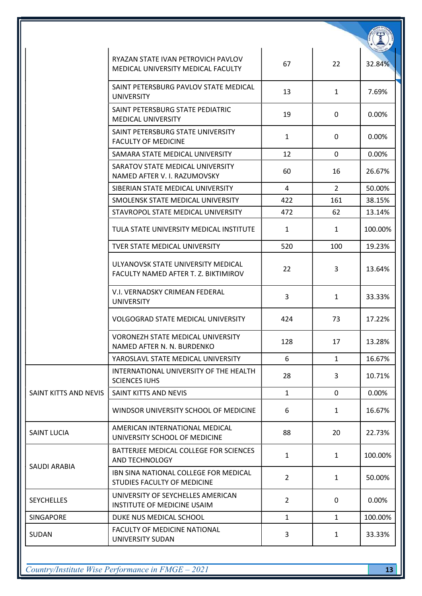|                       | RYAZAN STATE IVAN PETROVICH PAVLOV<br>MEDICAL UNIVERSITY MEDICAL FACULTY   | 67             | 22             | 32.84%  |
|-----------------------|----------------------------------------------------------------------------|----------------|----------------|---------|
|                       | SAINT PETERSBURG PAVLOV STATE MEDICAL<br><b>UNIVERSITY</b>                 | 13             | $\mathbf{1}$   | 7.69%   |
|                       | SAINT PETERSBURG STATE PEDIATRIC<br><b>MEDICAL UNIVERSITY</b>              | 19             | 0              | 0.00%   |
|                       | SAINT PETERSBURG STATE UNIVERSITY<br><b>FACULTY OF MEDICINE</b>            | $\mathbf{1}$   | 0              | 0.00%   |
|                       | SAMARA STATE MEDICAL UNIVERSITY                                            | 12             | $\mathbf{0}$   | 0.00%   |
|                       | SARATOV STATE MEDICAL UNIVERSITY<br>NAMED AFTER V. I. RAZUMOVSKY           | 60             | 16             | 26.67%  |
|                       | SIBERIAN STATE MEDICAL UNIVERSITY                                          | 4              | $\overline{2}$ | 50.00%  |
|                       | SMOLENSK STATE MEDICAL UNIVERSITY                                          | 422            | 161            | 38.15%  |
|                       | STAVROPOL STATE MEDICAL UNIVERSITY                                         | 472            | 62             | 13.14%  |
|                       | TULA STATE UNIVERSITY MEDICAL INSTITUTE                                    | $\mathbf{1}$   | 1              | 100.00% |
|                       | <b>TVER STATE MEDICAL UNIVERSITY</b>                                       | 520            | 100            | 19.23%  |
|                       | ULYANOVSK STATE UNIVERSITY MEDICAL<br>FACULTY NAMED AFTER T. Z. BIKTIMIROV | 22             | 3              | 13.64%  |
|                       | V.I. VERNADSKY CRIMEAN FEDERAL<br><b>UNIVERSITY</b>                        | 3              | 1              | 33.33%  |
|                       | <b>VOLGOGRAD STATE MEDICAL UNIVERSITY</b>                                  | 424            | 73             | 17.22%  |
|                       | <b>VORONEZH STATE MEDICAL UNIVERSITY</b><br>NAMED AFTER N. N. BURDENKO     | 128            | 17             | 13.28%  |
|                       | YAROSLAVL STATE MEDICAL UNIVERSITY                                         | 6              | $\mathbf{1}$   | 16.67%  |
| SAINT KITTS AND NEVIS | INTERNATIONAL UNIVERSITY OF THE HEALTH<br><b>SCIENCES IUHS</b>             | 28             | 3              | 10.71%  |
|                       | SAINT KITTS AND NEVIS                                                      | $\mathbf{1}$   | $\mathbf 0$    | 0.00%   |
|                       | WINDSOR UNIVERSITY SCHOOL OF MEDICINE                                      | 6              | $\mathbf{1}$   | 16.67%  |
| <b>SAINT LUCIA</b>    | AMERICAN INTERNATIONAL MEDICAL<br>UNIVERSITY SCHOOL OF MEDICINE            | 88             | 20             | 22.73%  |
| SAUDI ARABIA          | BATTERJEE MEDICAL COLLEGE FOR SCIENCES<br>AND TECHNOLOGY                   | $\mathbf{1}$   | $\mathbf{1}$   | 100.00% |
|                       | IBN SINA NATIONAL COLLEGE FOR MEDICAL<br>STUDIES FACULTY OF MEDICINE       | $\overline{2}$ | $\mathbf{1}$   | 50.00%  |
| <b>SEYCHELLES</b>     | UNIVERSITY OF SEYCHELLES AMERICAN<br>INSTITUTE OF MEDICINE USAIM           | $\overline{2}$ | 0              | 0.00%   |
| <b>SINGAPORE</b>      | DUKE NUS MEDICAL SCHOOL                                                    | $\mathbf{1}$   | $\mathbf{1}$   | 100.00% |
| SUDAN                 | <b>FACULTY OF MEDICINE NATIONAL</b><br>UNIVERSITY SUDAN                    | 3              | 1              | 33.33%  |

 $Country/Institute Wise Performance in FMGE-2021$  13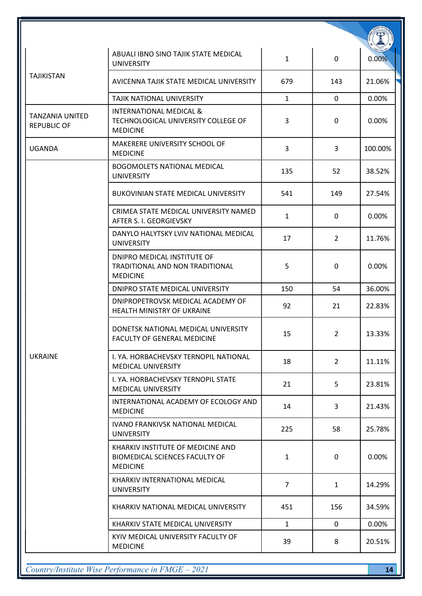| <b>TAJIKISTAN</b>                            | ABUALI IBNO SINO TAJIK STATE MEDICAL<br><b>UNIVERSITY</b>                                     | $\mathbf{1}$   | 0              | 0.00%   |
|----------------------------------------------|-----------------------------------------------------------------------------------------------|----------------|----------------|---------|
|                                              | AVICENNA TAJIK STATE MEDICAL UNIVERSITY                                                       | 679            | 143            | 21.06%  |
|                                              | TAJIK NATIONAL UNIVERSITY                                                                     | $\mathbf{1}$   | $\mathbf{0}$   | 0.00%   |
| <b>TANZANIA UNITED</b><br><b>REPUBLIC OF</b> | <b>INTERNATIONAL MEDICAL &amp;</b><br>TECHNOLOGICAL UNIVERSITY COLLEGE OF<br><b>MEDICINE</b>  | 3              | $\mathbf{0}$   | 0.00%   |
| <b>UGANDA</b>                                | MAKERERE UNIVERSITY SCHOOL OF<br><b>MEDICINE</b>                                              | 3              | 3              | 100.00% |
|                                              | <b>BOGOMOLETS NATIONAL MEDICAL</b><br><b>UNIVERSITY</b>                                       | 135            | 52             | 38.52%  |
|                                              | <b>BUKOVINIAN STATE MEDICAL UNIVERSITY</b>                                                    | 541            | 149            | 27.54%  |
|                                              | CRIMEA STATE MEDICAL UNIVERSITY NAMED<br>AFTER S. I. GEORGIEVSKY                              | $\mathbf{1}$   | $\mathbf{0}$   | 0.00%   |
| <b>UKRAINE</b>                               | DANYLO HALYTSKY LVIV NATIONAL MEDICAL<br><b>UNIVERSITY</b>                                    | 17             | $\overline{2}$ | 11.76%  |
|                                              | DNIPRO MEDICAL INSTITUTE OF<br>TRADITIONAL AND NON TRADITIONAL<br><b>MEDICINE</b>             | 5              | 0              | 0.00%   |
|                                              | DNIPRO STATE MEDICAL UNIVERSITY                                                               | 150            | 54             | 36.00%  |
|                                              | DNIPROPETROVSK MEDICAL ACADEMY OF<br>HEALTH MINISTRY OF UKRAINE                               | 92             | 21             | 22.83%  |
|                                              | DONETSK NATIONAL MEDICAL UNIVERSITY<br><b>FACULTY OF GENERAL MEDICINE</b>                     | 15             | $\overline{2}$ | 13.33%  |
|                                              | I. YA. HORBACHEVSKY TERNOPIL NATIONAL<br><b>MEDICAL UNIVERSITY</b>                            | 18             | $\overline{2}$ | 11.11%  |
|                                              | I. YA. HORBACHEVSKY TERNOPIL STATE<br><b>MEDICAL UNIVERSITY</b>                               | 21             | 5              | 23.81%  |
|                                              | INTERNATIONAL ACADEMY OF ECOLOGY AND<br><b>MEDICINE</b>                                       | 14             | 3              | 21.43%  |
|                                              | <b>IVANO FRANKIVSK NATIONAL MEDICAL</b><br><b>UNIVERSITY</b>                                  | 225            | 58             | 25.78%  |
|                                              | KHARKIV INSTITUTE OF MEDICINE AND<br><b>BIOMEDICAL SCIENCES FACULTY OF</b><br><b>MEDICINE</b> | 1              | 0              | 0.00%   |
|                                              | KHARKIV INTERNATIONAL MEDICAL<br><b>UNIVERSITY</b>                                            | $\overline{7}$ | $\mathbf{1}$   | 14.29%  |
|                                              | KHARKIV NATIONAL MEDICAL UNIVERSITY                                                           | 451            | 156            | 34.59%  |
|                                              | KHARKIV STATE MEDICAL UNIVERSITY                                                              | $\mathbf{1}$   | $\mathbf{0}$   | 0.00%   |
|                                              | KYIV MEDICAL UNIVERSITY FACULTY OF<br><b>MEDICINE</b>                                         | 39             | 8              | 20.51%  |

Country/Institute Wise Performance in FMGE – 2021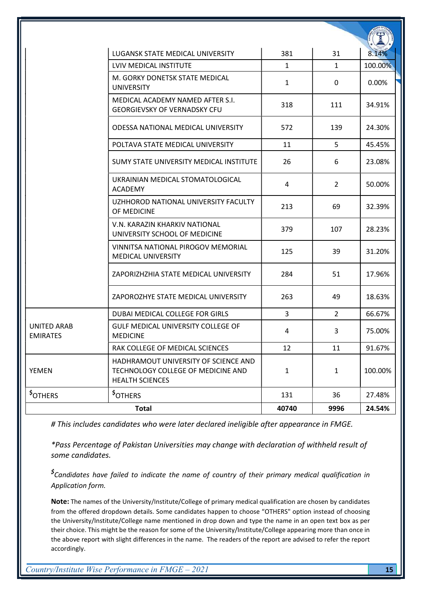|                                       | <b>LUGANSK STATE MEDICAL UNIVERSITY</b>                                                              | 381          | 31             | 8.14%   |
|---------------------------------------|------------------------------------------------------------------------------------------------------|--------------|----------------|---------|
| <b>UNITED ARAB</b><br><b>EMIRATES</b> | LVIV MEDICAL INSTITUTE                                                                               | $\mathbf{1}$ | $\mathbf{1}$   | 100.00% |
|                                       | M. GORKY DONETSK STATE MEDICAL<br><b>UNIVERSITY</b>                                                  | $\mathbf{1}$ | 0              | 0.00%   |
|                                       | MEDICAL ACADEMY NAMED AFTER S.I.<br><b>GEORGIEVSKY OF VERNADSKY CFU</b>                              | 318          | 111            | 34.91%  |
|                                       | ODESSA NATIONAL MEDICAL UNIVERSITY                                                                   | 572          | 139            | 24.30%  |
|                                       | POLTAVA STATE MEDICAL UNIVERSITY                                                                     | 11           | 5              | 45.45%  |
|                                       | SUMY STATE UNIVERSITY MEDICAL INSTITUTE                                                              | 26           | 6              | 23.08%  |
|                                       | UKRAINIAN MEDICAL STOMATOLOGICAL<br><b>ACADEMY</b>                                                   | 4            | $\overline{2}$ | 50.00%  |
|                                       | UZHHOROD NATIONAL UNIVERSITY FACULTY<br>OF MEDICINE                                                  | 213          | 69             | 32.39%  |
|                                       | V.N. KARAZIN KHARKIV NATIONAL<br>UNIVERSITY SCHOOL OF MEDICINE                                       | 379          | 107            | 28.23%  |
|                                       | VINNITSA NATIONAL PIROGOV MEMORIAL<br><b>MEDICAL UNIVERSITY</b>                                      | 125          | 39             | 31.20%  |
|                                       | ZAPORIZHZHIA STATE MEDICAL UNIVERSITY                                                                | 284          | 51             | 17.96%  |
|                                       | ZAPOROZHYE STATE MEDICAL UNIVERSITY                                                                  | 263          | 49             | 18.63%  |
|                                       | DUBAI MEDICAL COLLEGE FOR GIRLS                                                                      | 3            | $\overline{2}$ | 66.67%  |
|                                       | <b>GULF MEDICAL UNIVERSITY COLLEGE OF</b><br><b>MEDICINE</b>                                         | 4            | 3              | 75.00%  |
|                                       | RAK COLLEGE OF MEDICAL SCIENCES                                                                      | 12           | 11             | 91.67%  |
| <b>YEMEN</b>                          | HADHRAMOUT UNIVERSITY OF SCIENCE AND<br>TECHNOLOGY COLLEGE OF MEDICINE AND<br><b>HEALTH SCIENCES</b> | $\mathbf{1}$ | $\mathbf{1}$   | 100.00% |
| <b>SOTHERS</b>                        | <b>SOTHERS</b>                                                                                       | 131          | 36             | 27.48%  |
| <b>Total</b>                          |                                                                                                      | 40740        | 9996           | 24.54%  |

# This includes candidates who were later declared ineligible after appearance in FMGE.

\*Pass Percentage of Pakistan Universities may change with declaration of withheld result of some candidates.

\$Candidates have failed to indicate the name of country of their primary medical qualification in Application form.

Note: The names of the University/Institute/College of primary medical qualification are chosen by candidates from the offered dropdown details. Some candidates happen to choose "OTHERS" option instead of choosing the University/Institute/College name mentioned in drop down and type the name in an open text box as per their choice. This might be the reason for some of the University/Institute/College appearing more than once in the above report with slight differences in the name. The readers of the report are advised to refer the report accordingly.

Country/Institute Wise Performance in  $FMGE - 2021$  15